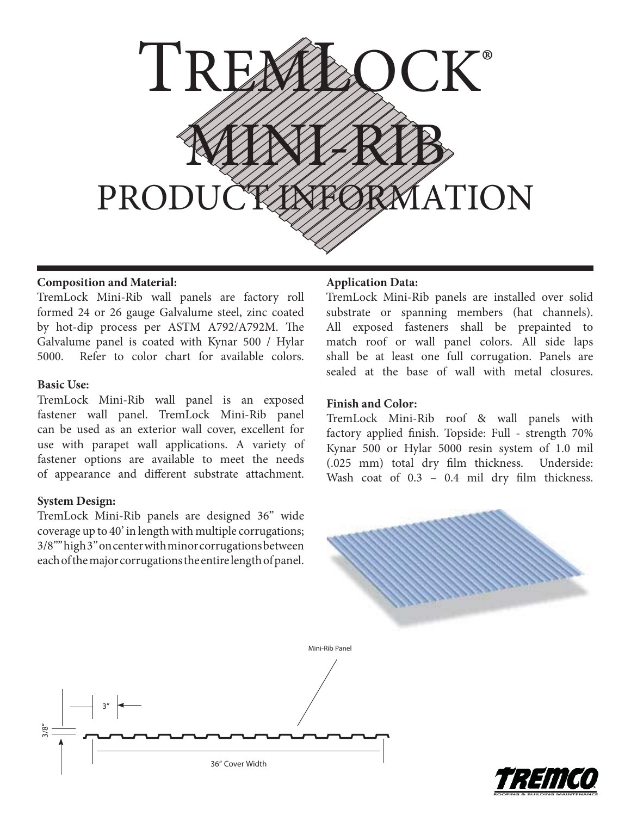

# **Composition and Material:**

TremLock Mini-Rib wall panels are factory roll formed 24 or 26 gauge Galvalume steel, zinc coated by hot-dip process per ASTM A792/A792M. The Galvalume panel is coated with Kynar 500 / Hylar 5000. Refer to color chart for available colors.

## **Basic Use:**

TremLock Mini-Rib wall panel is an exposed fastener wall panel. TremLock Mini-Rib panel can be used as an exterior wall cover, excellent for use with parapet wall applications. A variety of fastener options are available to meet the needs of appearance and different substrate attachment.

# **System Design:**

TremLock Mini-Rib panels are designed 36" wide coverage up to 40' in length with multiple corrugations; 3/8"" high 3" on center with minor corrugations between each of the major corrugations the entire length of panel.

## **Application Data:**

TremLock Mini-Rib panels are installed over solid substrate or spanning members (hat channels). All exposed fasteners shall be prepainted to match roof or wall panel colors. All side laps shall be at least one full corrugation. Panels are sealed at the base of wall with metal closures.

## **Finish and Color:**

TremLock Mini-Rib roof & wall panels with factory applied finish. Topside: Full - strength 70% Kynar 500 or Hylar 5000 resin system of 1.0 mil (.025 mm) total dry film thickness. Underside: Wash coat of  $0.3 - 0.4$  mil dry film thickness.